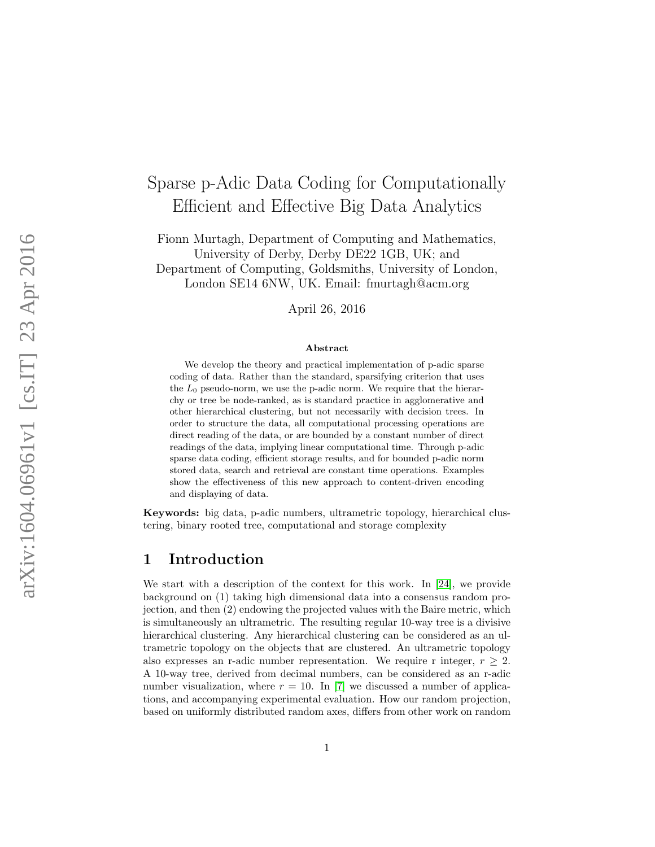# Sparse p-Adic Data Coding for Computationally Efficient and Effective Big Data Analytics

Fionn Murtagh, Department of Computing and Mathematics, University of Derby, Derby DE22 1GB, UK; and Department of Computing, Goldsmiths, University of London, London SE14 6NW, UK. Email: fmurtagh@acm.org

April 26, 2016

#### Abstract

We develop the theory and practical implementation of p-adic sparse coding of data. Rather than the standard, sparsifying criterion that uses the  $L_0$  pseudo-norm, we use the p-adic norm. We require that the hierarchy or tree be node-ranked, as is standard practice in agglomerative and other hierarchical clustering, but not necessarily with decision trees. In order to structure the data, all computational processing operations are direct reading of the data, or are bounded by a constant number of direct readings of the data, implying linear computational time. Through p-adic sparse data coding, efficient storage results, and for bounded p-adic norm stored data, search and retrieval are constant time operations. Examples show the effectiveness of this new approach to content-driven encoding and displaying of data.

Keywords: big data, p-adic numbers, ultrametric topology, hierarchical clustering, binary rooted tree, computational and storage complexity

### 1 Introduction

We start with a description of the context for this work. In [\[24\]](#page-19-0), we provide background on (1) taking high dimensional data into a consensus random projection, and then (2) endowing the projected values with the Baire metric, which is simultaneously an ultrametric. The resulting regular 10-way tree is a divisive hierarchical clustering. Any hierarchical clustering can be considered as an ultrametric topology on the objects that are clustered. An ultrametric topology also expresses an r-adic number representation. We require r integer,  $r \geq 2$ . A 10-way tree, derived from decimal numbers, can be considered as an r-adic number visualization, where  $r = 10$ . In [\[7\]](#page-18-0) we discussed a number of applications, and accompanying experimental evaluation. How our random projection, based on uniformly distributed random axes, differs from other work on random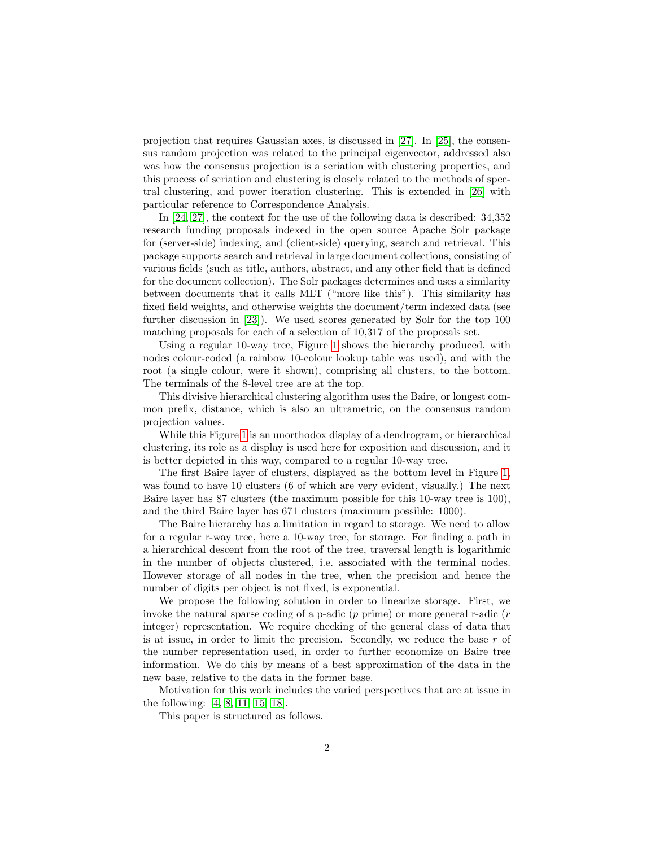projection that requires Gaussian axes, is discussed in [\[27\]](#page-19-1). In [\[25\]](#page-19-2), the consensus random projection was related to the principal eigenvector, addressed also was how the consensus projection is a seriation with clustering properties, and this process of seriation and clustering is closely related to the methods of spectral clustering, and power iteration clustering. This is extended in [\[26\]](#page-19-3) with particular reference to Correspondence Analysis.

In [\[24,](#page-19-0) [27\]](#page-19-1), the context for the use of the following data is described: 34,352 research funding proposals indexed in the open source Apache Solr package for (server-side) indexing, and (client-side) querying, search and retrieval. This package supports search and retrieval in large document collections, consisting of various fields (such as title, authors, abstract, and any other field that is defined for the document collection). The Solr packages determines and uses a similarity between documents that it calls MLT ("more like this"). This similarity has fixed field weights, and otherwise weights the document/term indexed data (see further discussion in [\[23\]](#page-19-4)). We used scores generated by Solr for the top 100 matching proposals for each of a selection of 10,317 of the proposals set.

Using a regular 10-way tree, Figure [1](#page-2-0) shows the hierarchy produced, with nodes colour-coded (a rainbow 10-colour lookup table was used), and with the root (a single colour, were it shown), comprising all clusters, to the bottom. The terminals of the 8-level tree are at the top.

This divisive hierarchical clustering algorithm uses the Baire, or longest common prefix, distance, which is also an ultrametric, on the consensus random projection values.

While this Figure [1](#page-2-0) is an unorthodox display of a dendrogram, or hierarchical clustering, its role as a display is used here for exposition and discussion, and it is better depicted in this way, compared to a regular 10-way tree.

The first Baire layer of clusters, displayed as the bottom level in Figure [1,](#page-2-0) was found to have 10 clusters (6 of which are very evident, visually.) The next Baire layer has 87 clusters (the maximum possible for this 10-way tree is 100), and the third Baire layer has 671 clusters (maximum possible: 1000).

The Baire hierarchy has a limitation in regard to storage. We need to allow for a regular r-way tree, here a 10-way tree, for storage. For finding a path in a hierarchical descent from the root of the tree, traversal length is logarithmic in the number of objects clustered, i.e. associated with the terminal nodes. However storage of all nodes in the tree, when the precision and hence the number of digits per object is not fixed, is exponential.

We propose the following solution in order to linearize storage. First, we invoke the natural sparse coding of a p-adic  $(p \text{ prime})$  or more general r-adic  $(r \text{ }}$ integer) representation. We require checking of the general class of data that is at issue, in order to limit the precision. Secondly, we reduce the base  $r$  of the number representation used, in order to further economize on Baire tree information. We do this by means of a best approximation of the data in the new base, relative to the data in the former base.

Motivation for this work includes the varied perspectives that are at issue in the following: [\[4,](#page-17-0) [8,](#page-18-1) [11,](#page-18-2) [15,](#page-18-3) [18\]](#page-18-4).

This paper is structured as follows.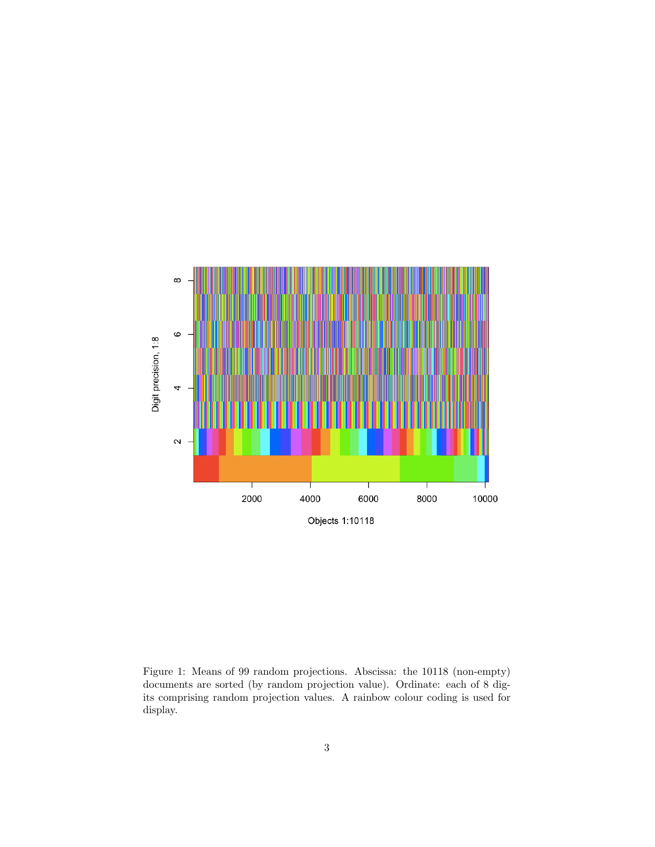

<span id="page-2-0"></span>Figure 1: Means of 99 random projections. Abscissa: the 10118 (non-empty) documents are sorted (by random projection value). Ordinate: each of 8 digits comprising random projection values. A rainbow colour coding is used for display.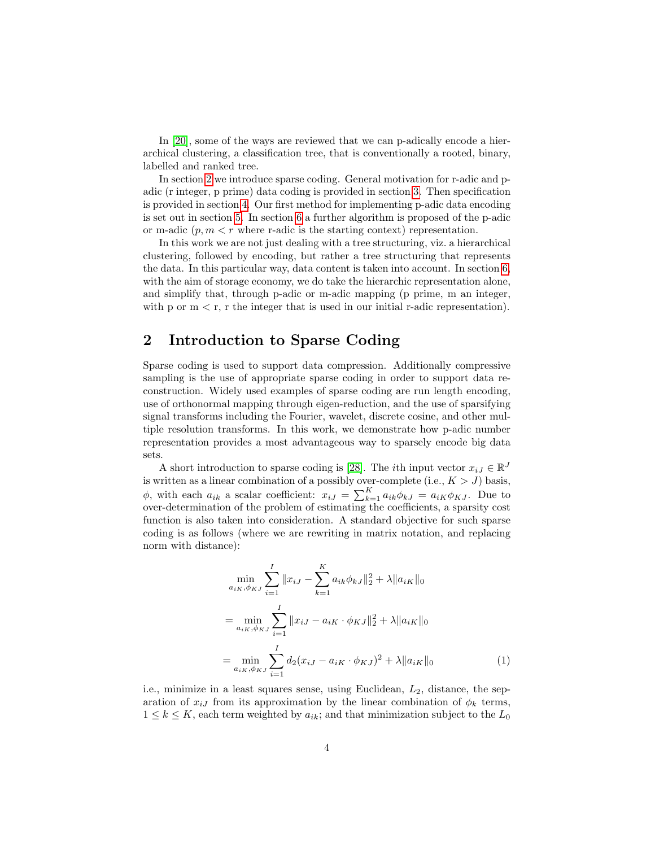In [\[20\]](#page-19-5), some of the ways are reviewed that we can p-adically encode a hierarchical clustering, a classification tree, that is conventionally a rooted, binary, labelled and ranked tree.

In section [2](#page-3-0) we introduce sparse coding. General motivation for r-adic and padic (r integer, p prime) data coding is provided in section [3.](#page-5-0) Then specification is provided in section [4.](#page-6-0) Our first method for implementing p-adic data encoding is set out in section [5.](#page-6-1) In section [6](#page-12-0) a further algorithm is proposed of the p-adic or m-adic  $(p, m < r$  where r-adic is the starting context) representation.

In this work we are not just dealing with a tree structuring, viz. a hierarchical clustering, followed by encoding, but rather a tree structuring that represents the data. In this particular way, data content is taken into account. In section [6,](#page-12-0) with the aim of storage economy, we do take the hierarchic representation alone, and simplify that, through p-adic or m-adic mapping (p prime, m an integer, with p or  $m < r$ , r the integer that is used in our initial r-adic representation).

## <span id="page-3-0"></span>2 Introduction to Sparse Coding

Sparse coding is used to support data compression. Additionally compressive sampling is the use of appropriate sparse coding in order to support data reconstruction. Widely used examples of sparse coding are run length encoding, use of orthonormal mapping through eigen-reduction, and the use of sparsifying signal transforms including the Fourier, wavelet, discrete cosine, and other multiple resolution transforms. In this work, we demonstrate how p-adic number representation provides a most advantageous way to sparsely encode big data sets.

A short introduction to sparse coding is [\[28\]](#page-19-6). The *i*th input vector  $x_{iJ} \in \mathbb{R}^{J}$ is written as a linear combination of a possibly over-complete (i.e.,  $K > J$ ) basis,  $\phi$ , with each  $a_{ik}$  a scalar coefficient:  $x_{iJ} = \sum_{k=1}^{K} a_{ik} \phi_{kJ} = a_{iK} \phi_{KJ}$ . Due to over-determination of the problem of estimating the coefficients, a sparsity cost function is also taken into consideration. A standard objective for such sparse coding is as follows (where we are rewriting in matrix notation, and replacing norm with distance):

$$
\min_{a_{iK}, \phi_{KJ}} \sum_{i=1}^{I} ||x_{iJ} - \sum_{k=1}^{K} a_{ik} \phi_{kJ}||_2^2 + \lambda ||a_{iK}||_0
$$
  
\n
$$
= \min_{a_{iK}, \phi_{KJ}} \sum_{i=1}^{I} ||x_{iJ} - a_{iK} \cdot \phi_{KJ}||_2^2 + \lambda ||a_{iK}||_0
$$
  
\n
$$
= \min_{a_{iK}, \phi_{KJ}} \sum_{i=1}^{I} d_2 (x_{iJ} - a_{iK} \cdot \phi_{KJ})^2 + \lambda ||a_{iK}||_0
$$
 (1)

<span id="page-3-1"></span>i.e., minimize in a least squares sense, using Euclidean,  $L_2$ , distance, the separation of  $x_{iJ}$  from its approximation by the linear combination of  $\phi_k$  terms,  $1 \leq k \leq K$ , each term weighted by  $a_{ik}$ ; and that minimization subject to the  $L_0$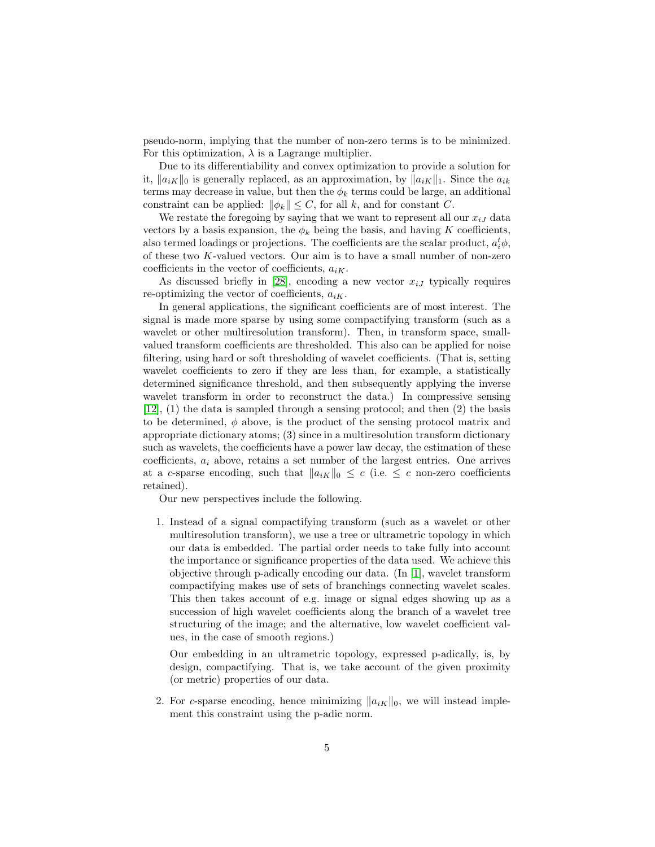pseudo-norm, implying that the number of non-zero terms is to be minimized. For this optimization,  $\lambda$  is a Lagrange multiplier.

Due to its differentiability and convex optimization to provide a solution for it,  $\|a_{iK}\|_0$  is generally replaced, as an approximation, by  $\|a_{iK}\|_1$ . Since the  $a_{ik}$ terms may decrease in value, but then the  $\phi_k$  terms could be large, an additional constraint can be applied:  $\|\phi_k\| \leq C$ , for all k, and for constant C.

We restate the foregoing by saying that we want to represent all our  $x_{iJ}$  data vectors by a basis expansion, the  $\phi_k$  being the basis, and having K coefficients, also termed loadings or projections. The coefficients are the scalar product,  $a_i^t \phi$ , of these two K-valued vectors. Our aim is to have a small number of non-zero coefficients in the vector of coefficients,  $a_{iK}$ .

As discussed briefly in [\[28\]](#page-19-6), encoding a new vector  $x_{iJ}$  typically requires re-optimizing the vector of coefficients,  $a_{iK}$ .

In general applications, the significant coefficients are of most interest. The signal is made more sparse by using some compactifying transform (such as a wavelet or other multiresolution transform). Then, in transform space, smallvalued transform coefficients are thresholded. This also can be applied for noise filtering, using hard or soft thresholding of wavelet coefficients. (That is, setting wavelet coefficients to zero if they are less than, for example, a statistically determined significance threshold, and then subsequently applying the inverse wavelet transform in order to reconstruct the data.) In compressive sensing [\[12\]](#page-18-5), (1) the data is sampled through a sensing protocol; and then (2) the basis to be determined,  $\phi$  above, is the product of the sensing protocol matrix and appropriate dictionary atoms; (3) since in a multiresolution transform dictionary such as wavelets, the coefficients have a power law decay, the estimation of these coefficients,  $a_i$  above, retains a set number of the largest entries. One arrives at a c-sparse encoding, such that  $||a_{iK}||_0 \leq c$  (i.e.  $\leq c$  non-zero coefficients retained).

Our new perspectives include the following.

1. Instead of a signal compactifying transform (such as a wavelet or other multiresolution transform), we use a tree or ultrametric topology in which our data is embedded. The partial order needs to take fully into account the importance or significance properties of the data used. We achieve this objective through p-adically encoding our data.  $\text{In } [1]$  $\text{In } [1]$ , wavelet transform compactifying makes use of sets of branchings connecting wavelet scales. This then takes account of e.g. image or signal edges showing up as a succession of high wavelet coefficients along the branch of a wavelet tree structuring of the image; and the alternative, low wavelet coefficient values, in the case of smooth regions.)

Our embedding in an ultrametric topology, expressed p-adically, is, by design, compactifying. That is, we take account of the given proximity (or metric) properties of our data.

2. For c-sparse encoding, hence minimizing  $||a_{iK}||_0$ , we will instead implement this constraint using the p-adic norm.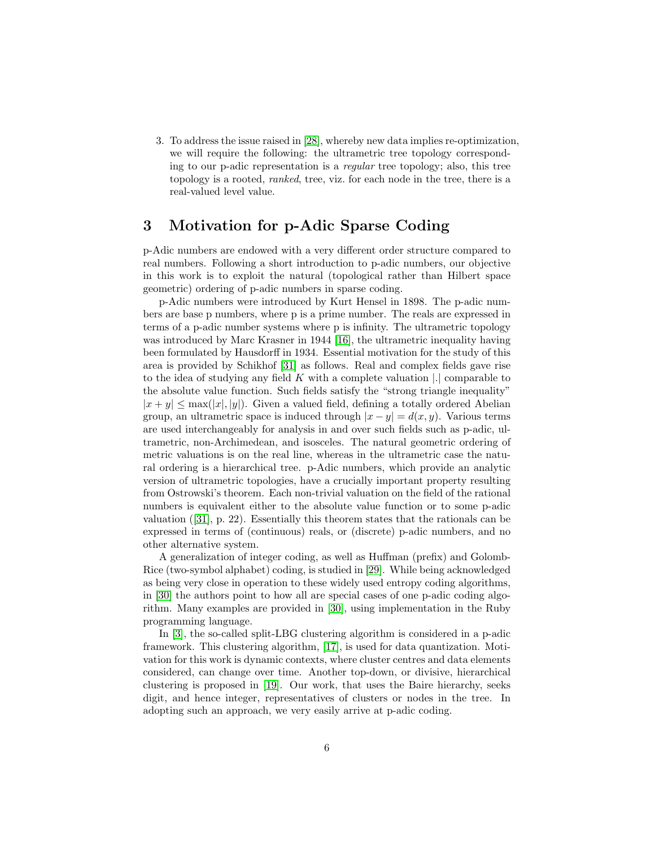3. To address the issue raised in [\[28\]](#page-19-6), whereby new data implies re-optimization, we will require the following: the ultrametric tree topology corresponding to our p-adic representation is a regular tree topology; also, this tree topology is a rooted, ranked, tree, viz. for each node in the tree, there is a real-valued level value.

### <span id="page-5-0"></span>3 Motivation for p-Adic Sparse Coding

p-Adic numbers are endowed with a very different order structure compared to real numbers. Following a short introduction to p-adic numbers, our objective in this work is to exploit the natural (topological rather than Hilbert space geometric) ordering of p-adic numbers in sparse coding.

p-Adic numbers were introduced by Kurt Hensel in 1898. The p-adic numbers are base p numbers, where p is a prime number. The reals are expressed in terms of a p-adic number systems where p is infinity. The ultrametric topology was introduced by Marc Krasner in 1944 [\[16\]](#page-18-6), the ultrametric inequality having been formulated by Hausdorff in 1934. Essential motivation for the study of this area is provided by Schikhof [\[31\]](#page-19-7) as follows. Real and complex fields gave rise to the idea of studying any field  $K$  with a complete valuation  $|.|$  comparable to the absolute value function. Such fields satisfy the "strong triangle inequality"  $|x + y| \leq \max(|x|, |y|)$ . Given a valued field, defining a totally ordered Abelian group, an ultrametric space is induced through  $|x - y| = d(x, y)$ . Various terms are used interchangeably for analysis in and over such fields such as p-adic, ultrametric, non-Archimedean, and isosceles. The natural geometric ordering of metric valuations is on the real line, whereas in the ultrametric case the natural ordering is a hierarchical tree. p-Adic numbers, which provide an analytic version of ultrametric topologies, have a crucially important property resulting from Ostrowski's theorem. Each non-trivial valuation on the field of the rational numbers is equivalent either to the absolute value function or to some p-adic valuation ([\[31\]](#page-19-7), p. 22). Essentially this theorem states that the rationals can be expressed in terms of (continuous) reals, or (discrete) p-adic numbers, and no other alternative system.

A generalization of integer coding, as well as Huffman (prefix) and Golomb-Rice (two-symbol alphabet) coding, is studied in [\[29\]](#page-19-8). While being acknowledged as being very close in operation to these widely used entropy coding algorithms, in [\[30\]](#page-19-9) the authors point to how all are special cases of one p-adic coding algorithm. Many examples are provided in [\[30\]](#page-19-9), using implementation in the Ruby programming language.

In [\[3\]](#page-17-2), the so-called split-LBG clustering algorithm is considered in a p-adic framework. This clustering algorithm, [\[17\]](#page-18-7), is used for data quantization. Motivation for this work is dynamic contexts, where cluster centres and data elements considered, can change over time. Another top-down, or divisive, hierarchical clustering is proposed in [\[19\]](#page-18-8). Our work, that uses the Baire hierarchy, seeks digit, and hence integer, representatives of clusters or nodes in the tree. In adopting such an approach, we very easily arrive at p-adic coding.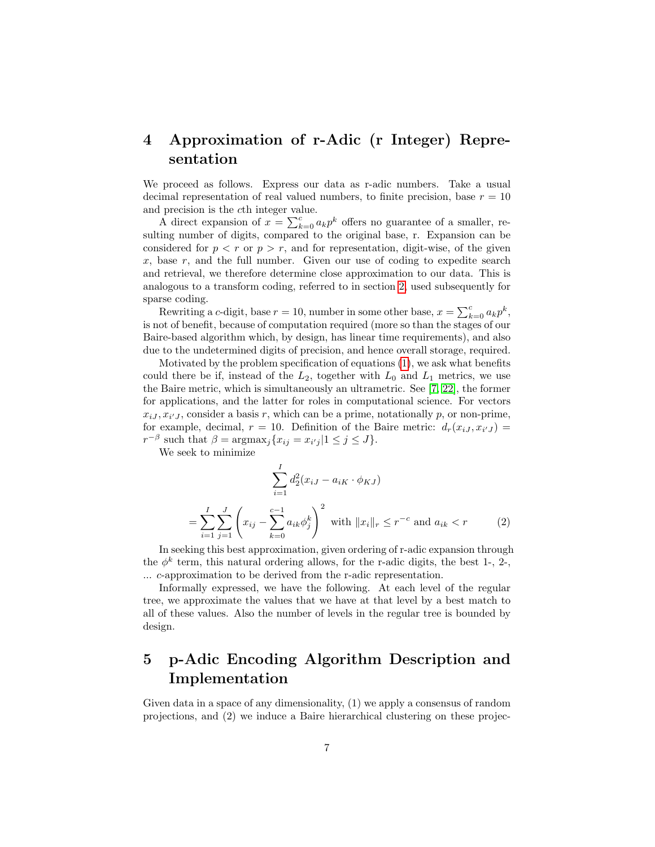# <span id="page-6-0"></span>4 Approximation of r-Adic (r Integer) Representation

We proceed as follows. Express our data as r-adic numbers. Take a usual decimal representation of real valued numbers, to finite precision, base  $r = 10$ and precision is the cth integer value.

A direct expansion of  $x = \sum_{k=0}^{c} a_k p^k$  offers no guarantee of a smaller, resulting number of digits, compared to the original base, r. Expansion can be considered for  $p < r$  or  $p > r$ , and for representation, digit-wise, of the given  $x$ , base  $r$ , and the full number. Given our use of coding to expedite search and retrieval, we therefore determine close approximation to our data. This is analogous to a transform coding, referred to in section [2,](#page-3-0) used subsequently for sparse coding.

Rewriting a c-digit, base  $r = 10$ , number in some other base,  $x = \sum_{k=0}^{c} a_k p^k$ , is not of benefit, because of computation required (more so than the stages of our Baire-based algorithm which, by design, has linear time requirements), and also due to the undetermined digits of precision, and hence overall storage, required.

Motivated by the problem specification of equations [\(1\)](#page-3-1), we ask what benefits could there be if, instead of the  $L_2$ , together with  $L_0$  and  $L_1$  metrics, we use the Baire metric, which is simultaneously an ultrametric. See [\[7,](#page-18-0) [22\]](#page-19-10), the former for applications, and the latter for roles in computational science. For vectors  $x_{iJ}, x_{i'J}$ , consider a basis r, which can be a prime, notationally p, or non-prime, for example, decimal,  $r = 10$ . Definition of the Baire metric:  $d_r(x_{iJ}, x_{iJ}) =$  $r^{-\beta}$  such that  $\beta = \operatorname{argmax}_j \{ x_{ij} = x_{i'j} | 1 \le j \le J \}.$ 

We seek to minimize

<span id="page-6-2"></span>
$$
\sum_{i=1}^{I} d_2^2 (x_{iJ} - a_{iK} \cdot \phi_{KJ})
$$
\n
$$
= \sum_{i=1}^{I} \sum_{j=1}^{J} \left( x_{ij} - \sum_{k=0}^{c-1} a_{ik} \phi_j^k \right)^2 \text{ with } ||x_i||_r \le r^{-c} \text{ and } a_{ik} < r \qquad (2)
$$

In seeking this best approximation, given ordering of r-adic expansion through the  $\phi^k$  term, this natural ordering allows, for the r-adic digits, the best 1-, 2-, ... c-approximation to be derived from the r-adic representation.

Informally expressed, we have the following. At each level of the regular tree, we approximate the values that we have at that level by a best match to all of these values. Also the number of levels in the regular tree is bounded by design.

# <span id="page-6-1"></span>5 p-Adic Encoding Algorithm Description and Implementation

Given data in a space of any dimensionality, (1) we apply a consensus of random projections, and (2) we induce a Baire hierarchical clustering on these projec-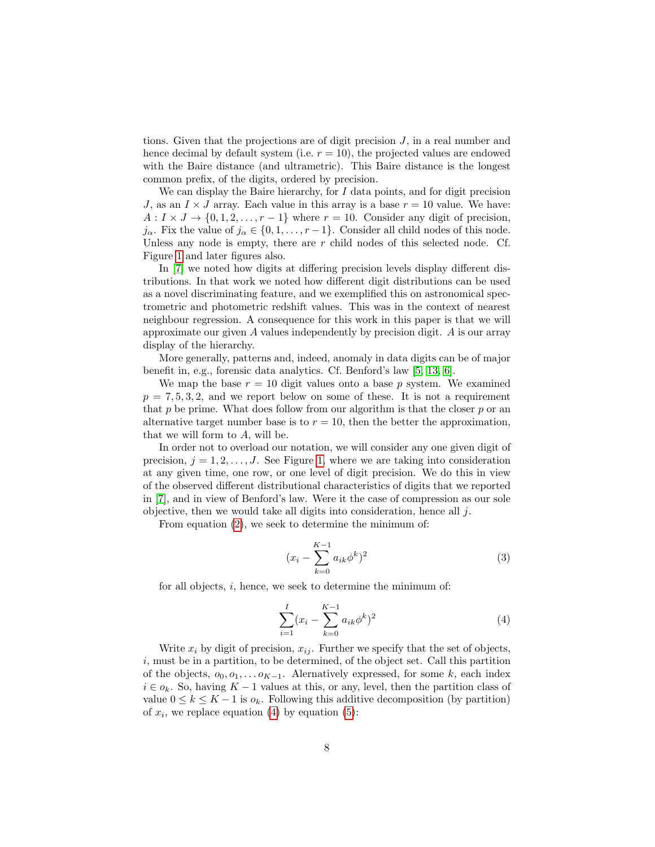tions. Given that the projections are of digit precision  $J$ , in a real number and hence decimal by default system (i.e.  $r = 10$ ), the projected values are endowed with the Baire distance (and ultrametric). This Baire distance is the longest common prefix, of the digits, ordered by precision.

We can display the Baire hierarchy, for  $I$  data points, and for digit precision J, as an  $I \times J$  array. Each value in this array is a base  $r = 10$  value. We have:  $A: I \times J \rightarrow \{0, 1, 2, \ldots, r - 1\}$  where  $r = 10$ . Consider any digit of precision,  $j_{\alpha}$ . Fix the value of  $j_{\alpha} \in \{0, 1, \ldots, r-1\}$ . Consider all child nodes of this node. Unless any node is empty, there are r child nodes of this selected node. Cf. Figure [1](#page-2-0) and later figures also.

In [\[7\]](#page-18-0) we noted how digits at differing precision levels display different distributions. In that work we noted how different digit distributions can be used as a novel discriminating feature, and we exemplified this on astronomical spectrometric and photometric redshift values. This was in the context of nearest neighbour regression. A consequence for this work in this paper is that we will approximate our given A values independently by precision digit. A is our array display of the hierarchy.

More generally, patterns and, indeed, anomaly in data digits can be of major benefit in, e.g., forensic data analytics. Cf. Benford's law [\[5,](#page-17-3) [13,](#page-18-9) [6\]](#page-17-4).

We map the base  $r = 10$  digit values onto a base p system. We examined  $p = 7, 5, 3, 2$ , and we report below on some of these. It is not a requirement that p be prime. What does follow from our algorithm is that the closer p or an alternative target number base is to  $r = 10$ , then the better the approximation, that we will form to A, will be.

In order not to overload our notation, we will consider any one given digit of precision,  $j = 1, 2, \ldots, J$  $j = 1, 2, \ldots, J$  $j = 1, 2, \ldots, J$ . See Figure 1, where we are taking into consideration at any given time, one row, or one level of digit precision. We do this in view of the observed different distributional characteristics of digits that we reported in [\[7\]](#page-18-0), and in view of Benford's law. Were it the case of compression as our sole objective, then we would take all digits into consideration, hence all j.

From equation [\(2\)](#page-6-2), we seek to determine the minimum of:

$$
(x_i - \sum_{k=0}^{K-1} a_{ik} \phi^k)^2
$$
 (3)

for all objects, i, hence, we seek to determine the minimum of:

<span id="page-7-0"></span>
$$
\sum_{i=1}^{I} (x_i - \sum_{k=0}^{K-1} a_{ik} \phi^k)^2
$$
 (4)

Write  $x_i$  by digit of precision,  $x_{ij}$ . Further we specify that the set of objects, i, must be in a partition, to be determined, of the object set. Call this partition of the objects,  $o_0, o_1, \ldots o_{K-1}$ . Alernatively expressed, for some k, each index  $i \in o_k$ . So, having  $K-1$  values at this, or any, level, then the partition class of value  $0 \leq k \leq K - 1$  is  $o_k$ . Following this additive decomposition (by partition) of  $x_i$ , we replace equation [\(4\)](#page-7-0) by equation [\(5\)](#page-8-0):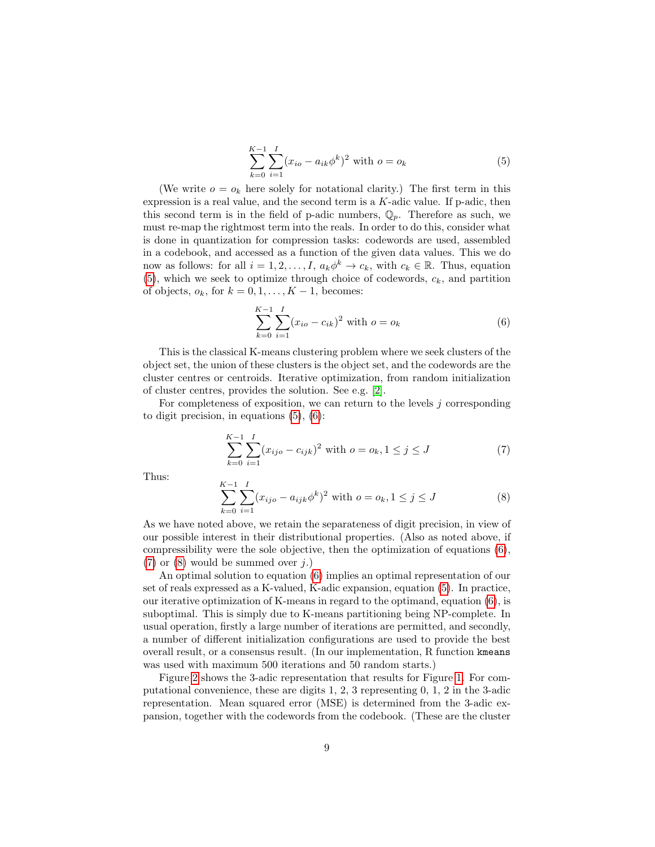<span id="page-8-0"></span>
$$
\sum_{k=0}^{K-1} \sum_{i=1}^{I} (x_{io} - a_{ik}\phi^k)^2 \text{ with } o = o_k
$$
 (5)

(We write  $o = o_k$  here solely for notational clarity.) The first term in this expression is a real value, and the second term is a  $K$ -adic value. If p-adic, then this second term is in the field of p-adic numbers,  $\mathbb{Q}_p$ . Therefore as such, we must re-map the rightmost term into the reals. In order to do this, consider what is done in quantization for compression tasks: codewords are used, assembled in a codebook, and accessed as a function of the given data values. This we do now as follows: for all  $i = 1, 2, ..., I$ ,  $a_k \phi^k \to c_k$ , with  $c_k \in \mathbb{R}$ . Thus, equation  $(5)$ , which we seek to optimize through choice of codewords,  $c_k$ , and partition of objects,  $o_k$ , for  $k = 0, 1, \ldots, K - 1$ , becomes:

<span id="page-8-1"></span>
$$
\sum_{k=0}^{K-1} \sum_{i=1}^{I} (x_{io} - c_{ik})^2 \text{ with } o = o_k
$$
 (6)

This is the classical K-means clustering problem where we seek clusters of the object set, the union of these clusters is the object set, and the codewords are the cluster centres or centroids. Iterative optimization, from random initialization of cluster centres, provides the solution. See e.g. [\[2\]](#page-17-5).

For completeness of exposition, we can return to the levels  $j$  corresponding to digit precision, in equations  $(5)$ ,  $(6)$ :

<span id="page-8-2"></span>
$$
\sum_{k=0}^{K-1} \sum_{i=1}^{I} (x_{ijo} - c_{ijk})^2 \text{ with } o = o_k, 1 \le j \le J \tag{7}
$$

Thus:

<span id="page-8-3"></span>
$$
\sum_{k=0}^{K-1} \sum_{i=1}^{I} (x_{ijo} - a_{ijk}\phi^k)^2 \text{ with } o = o_k, 1 \le j \le J
$$
 (8)

As we have noted above, we retain the separateness of digit precision, in view of our possible interest in their distributional properties. (Also as noted above, if compressibility were the sole objective, then the optimization of equations [\(6\)](#page-8-1),  $(7)$  or  $(8)$  would be summed over j.)

An optimal solution to equation [\(6\)](#page-8-1) implies an optimal representation of our set of reals expressed as a K-valued, K-adic expansion, equation [\(5\)](#page-8-0). In practice, our iterative optimization of K-means in regard to the optimand, equation [\(6\)](#page-8-1), is suboptimal. This is simply due to K-means partitioning being NP-complete. In usual operation, firstly a large number of iterations are permitted, and secondly, a number of different initialization configurations are used to provide the best overall result, or a consensus result. (In our implementation, R function kmeans was used with maximum 500 iterations and 50 random starts.)

Figure [2](#page-10-0) shows the 3-adic representation that results for Figure [1.](#page-2-0) For computational convenience, these are digits 1, 2, 3 representing 0, 1, 2 in the 3-adic representation. Mean squared error (MSE) is determined from the 3-adic expansion, together with the codewords from the codebook. (These are the cluster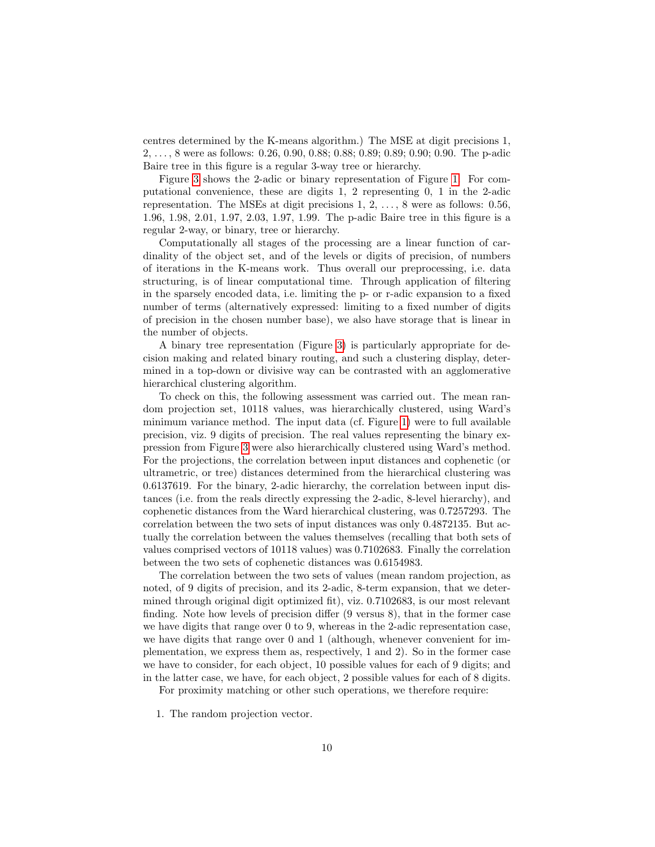centres determined by the K-means algorithm.) The MSE at digit precisions 1, 2, . . . , 8 were as follows: 0.26, 0.90, 0.88; 0.88; 0.89; 0.89; 0.90; 0.90. The p-adic Baire tree in this figure is a regular 3-way tree or hierarchy.

Figure [3](#page-11-0) shows the 2-adic or binary representation of Figure [1.](#page-2-0) For computational convenience, these are digits 1, 2 representing 0, 1 in the 2-adic representation. The MSEs at digit precisions 1, 2, . . . , 8 were as follows: 0.56, 1.96, 1.98, 2.01, 1.97, 2.03, 1.97, 1.99. The p-adic Baire tree in this figure is a regular 2-way, or binary, tree or hierarchy.

Computationally all stages of the processing are a linear function of cardinality of the object set, and of the levels or digits of precision, of numbers of iterations in the K-means work. Thus overall our preprocessing, i.e. data structuring, is of linear computational time. Through application of filtering in the sparsely encoded data, i.e. limiting the p- or r-adic expansion to a fixed number of terms (alternatively expressed: limiting to a fixed number of digits of precision in the chosen number base), we also have storage that is linear in the number of objects.

A binary tree representation (Figure [3\)](#page-11-0) is particularly appropriate for decision making and related binary routing, and such a clustering display, determined in a top-down or divisive way can be contrasted with an agglomerative hierarchical clustering algorithm.

To check on this, the following assessment was carried out. The mean random projection set, 10118 values, was hierarchically clustered, using Ward's minimum variance method. The input data (cf. Figure [1\)](#page-2-0) were to full available precision, viz. 9 digits of precision. The real values representing the binary expression from Figure [3](#page-11-0) were also hierarchically clustered using Ward's method. For the projections, the correlation between input distances and cophenetic (or ultrametric, or tree) distances determined from the hierarchical clustering was 0.6137619. For the binary, 2-adic hierarchy, the correlation between input distances (i.e. from the reals directly expressing the 2-adic, 8-level hierarchy), and cophenetic distances from the Ward hierarchical clustering, was 0.7257293. The correlation between the two sets of input distances was only 0.4872135. But actually the correlation between the values themselves (recalling that both sets of values comprised vectors of 10118 values) was 0.7102683. Finally the correlation between the two sets of cophenetic distances was 0.6154983.

The correlation between the two sets of values (mean random projection, as noted, of 9 digits of precision, and its 2-adic, 8-term expansion, that we determined through original digit optimized fit), viz. 0.7102683, is our most relevant finding. Note how levels of precision differ (9 versus 8), that in the former case we have digits that range over 0 to 9, whereas in the 2-adic representation case, we have digits that range over 0 and 1 (although, whenever convenient for implementation, we express them as, respectively, 1 and 2). So in the former case we have to consider, for each object, 10 possible values for each of 9 digits; and in the latter case, we have, for each object, 2 possible values for each of 8 digits.

For proximity matching or other such operations, we therefore require:

1. The random projection vector.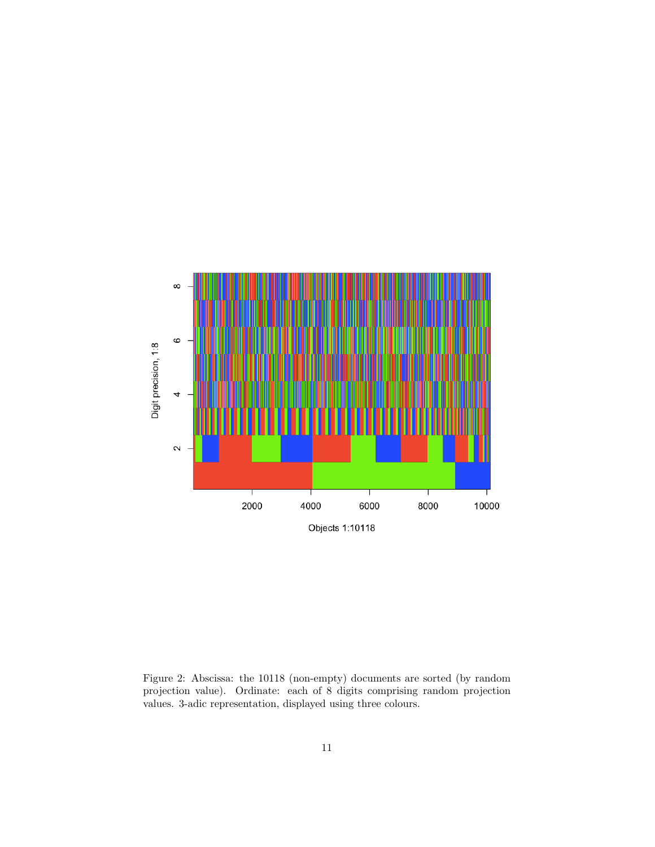

<span id="page-10-0"></span>Figure 2: Abscissa: the 10118 (non-empty) documents are sorted (by random projection value). Ordinate: each of 8 digits comprising random projection values. 3-adic representation, displayed using three colours.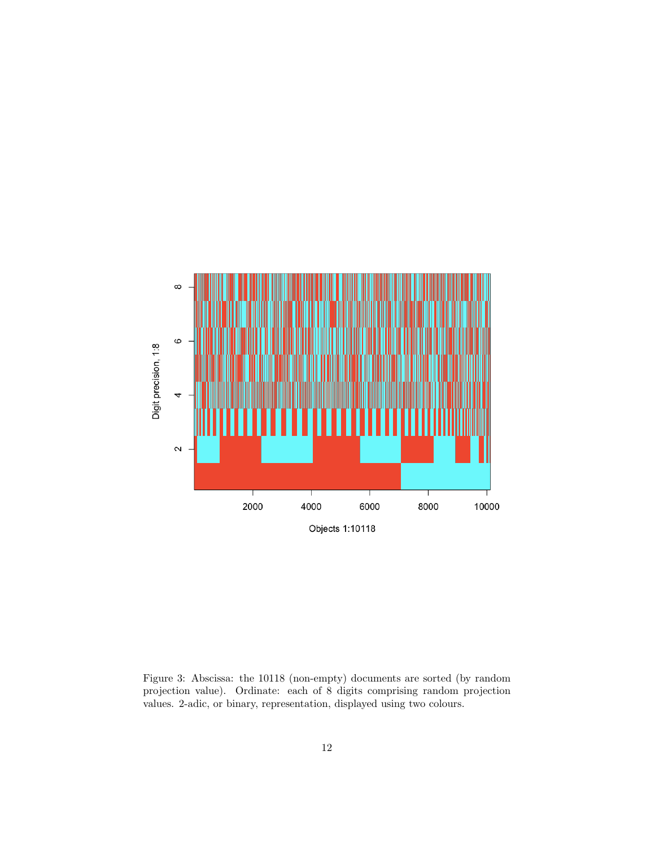

<span id="page-11-0"></span>Figure 3: Abscissa: the 10118 (non-empty) documents are sorted (by random projection value). Ordinate: each of 8 digits comprising random projection values. 2-adic, or binary, representation, displayed using two colours.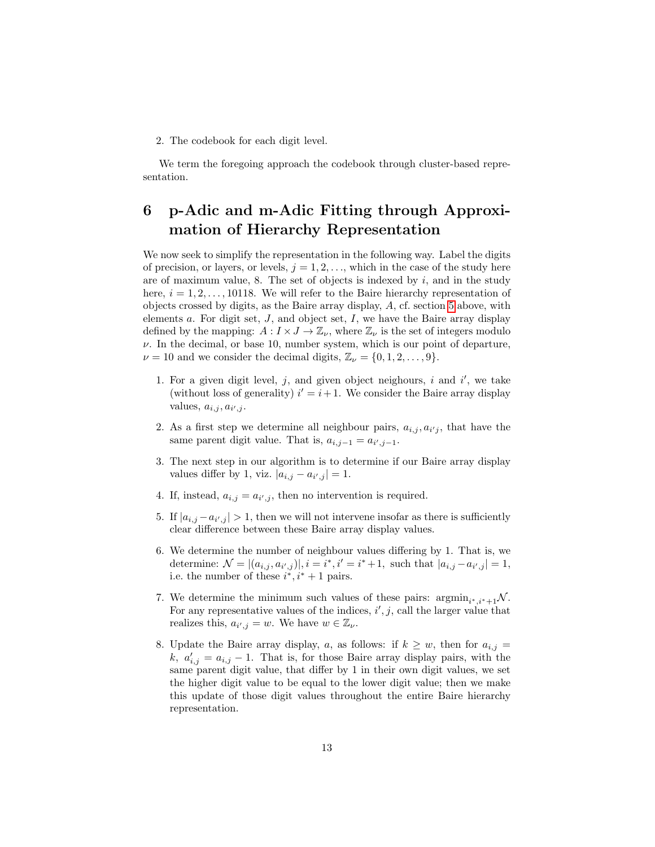2. The codebook for each digit level.

We term the foregoing approach the codebook through cluster-based representation.

# <span id="page-12-0"></span>6 p-Adic and m-Adic Fitting through Approximation of Hierarchy Representation

We now seek to simplify the representation in the following way. Label the digits of precision, or layers, or levels,  $j = 1, 2, \ldots$ , which in the case of the study here are of maximum value, 8. The set of objects is indexed by  $i$ , and in the study here,  $i = 1, 2, \ldots, 10118$ . We will refer to the Baire hierarchy representation of objects crossed by digits, as the Baire array display, A, cf. section [5](#page-6-1) above, with elements  $a$ . For digit set,  $J$ , and object set,  $I$ , we have the Baire array display defined by the mapping:  $A: I \times J \to \mathbb{Z}_{\nu}$ , where  $\mathbb{Z}_{\nu}$  is the set of integers modulo  $\nu$ . In the decimal, or base 10, number system, which is our point of departure,  $\nu = 10$  and we consider the decimal digits,  $\mathbb{Z}_{\nu} = \{0, 1, 2, \dots, 9\}.$ 

- 1. For a given digit level,  $j$ , and given object neighours,  $i$  and  $i'$ , we take (without loss of generality)  $i' = i + 1$ . We consider the Baire array display values,  $a_{i,j}, a_{i',j}$ .
- 2. As a first step we determine all neighbour pairs,  $a_{i,j}, a_{i'j}$ , that have the same parent digit value. That is,  $a_{i,j-1} = a_{i',j-1}$ .
- 3. The next step in our algorithm is to determine if our Baire array display values differ by 1, viz.  $|a_{i,j} - a_{i',j}| = 1$ .
- 4. If, instead,  $a_{i,j} = a_{i',j}$ , then no intervention is required.
- 5. If  $|a_{i,j} a_{i',j}| > 1$ , then we will not intervene insofar as there is sufficiently clear difference between these Baire array display values.
- 6. We determine the number of neighbour values differing by 1. That is, we determine:  $\mathcal{N} = |(a_{i,j}, a_{i',j})|, i = i^*, i' = i^* + 1$ , such that  $|a_{i,j} - a_{i',j}| = 1$ , i.e. the number of these  $i^*, i^* + 1$  pairs.
- 7. We determine the minimum such values of these pairs:  $\operatorname{argmin}_{i^*, i^*+1} \mathcal{N}$ . For any representative values of the indices,  $i', j$ , call the larger value that realizes this,  $a_{i',j} = w$ . We have  $w \in \mathbb{Z}_{\nu}$ .
- 8. Update the Baire array display, a, as follows: if  $k \geq w$ , then for  $a_{i,j} =$ k,  $a'_{i,j} = a_{i,j} - 1$ . That is, for those Baire array display pairs, with the same parent digit value, that differ by 1 in their own digit values, we set the higher digit value to be equal to the lower digit value; then we make this update of those digit values throughout the entire Baire hierarchy representation.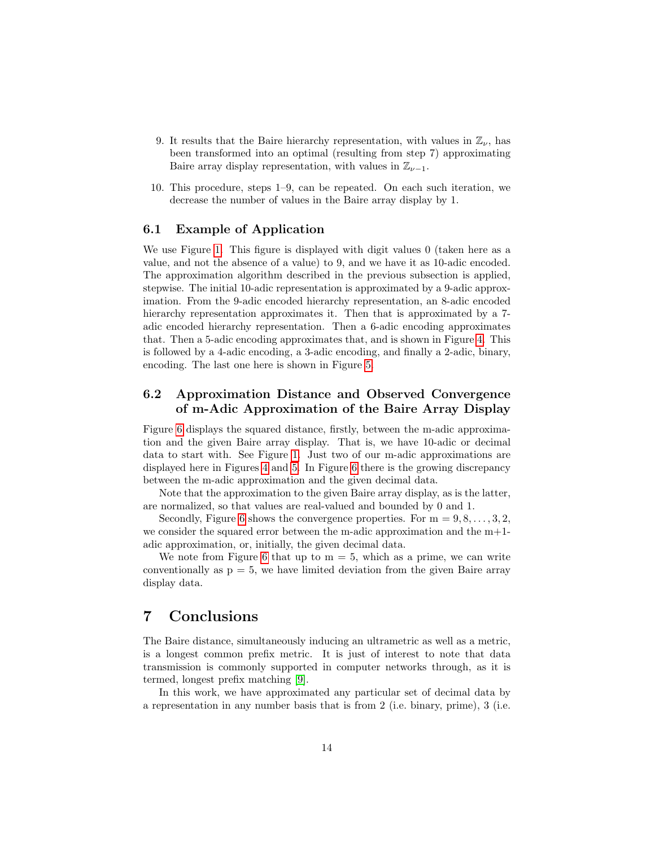- 9. It results that the Baire hierarchy representation, with values in  $\mathbb{Z}_{\nu}$ , has been transformed into an optimal (resulting from step 7) approximating Baire array display representation, with values in  $\mathbb{Z}_{\nu-1}$ .
- 10. This procedure, steps 1–9, can be repeated. On each such iteration, we decrease the number of values in the Baire array display by 1.

#### 6.1 Example of Application

We use Figure [1.](#page-2-0) This figure is displayed with digit values 0 (taken here as a value, and not the absence of a value) to 9, and we have it as 10-adic encoded. The approximation algorithm described in the previous subsection is applied, stepwise. The initial 10-adic representation is approximated by a 9-adic approximation. From the 9-adic encoded hierarchy representation, an 8-adic encoded hierarchy representation approximates it. Then that is approximated by a 7 adic encoded hierarchy representation. Then a 6-adic encoding approximates that. Then a 5-adic encoding approximates that, and is shown in Figure [4.](#page-14-0) This is followed by a 4-adic encoding, a 3-adic encoding, and finally a 2-adic, binary, encoding. The last one here is shown in Figure [5.](#page-15-0)

### 6.2 Approximation Distance and Observed Convergence of m-Adic Approximation of the Baire Array Display

Figure [6](#page-16-0) displays the squared distance, firstly, between the m-adic approximation and the given Baire array display. That is, we have 10-adic or decimal data to start with. See Figure [1.](#page-2-0) Just two of our m-adic approximations are displayed here in Figures [4](#page-14-0) and [5.](#page-15-0) In Figure [6](#page-16-0) there is the growing discrepancy between the m-adic approximation and the given decimal data.

Note that the approximation to the given Baire array display, as is the latter, are normalized, so that values are real-valued and bounded by 0 and 1.

Secondly, Figure [6](#page-16-0) shows the convergence properties. For  $m = 9, 8, \ldots, 3, 2$ , we consider the squared error between the m-adic approximation and the  $m+1$ adic approximation, or, initially, the given decimal data.

We note from Figure [6](#page-16-0) that up to  $m = 5$ , which as a prime, we can write conventionally as  $p = 5$ , we have limited deviation from the given Baire array display data.

## 7 Conclusions

The Baire distance, simultaneously inducing an ultrametric as well as a metric, is a longest common prefix metric. It is just of interest to note that data transmission is commonly supported in computer networks through, as it is termed, longest prefix matching [\[9\]](#page-18-10).

In this work, we have approximated any particular set of decimal data by a representation in any number basis that is from 2 (i.e. binary, prime), 3 (i.e.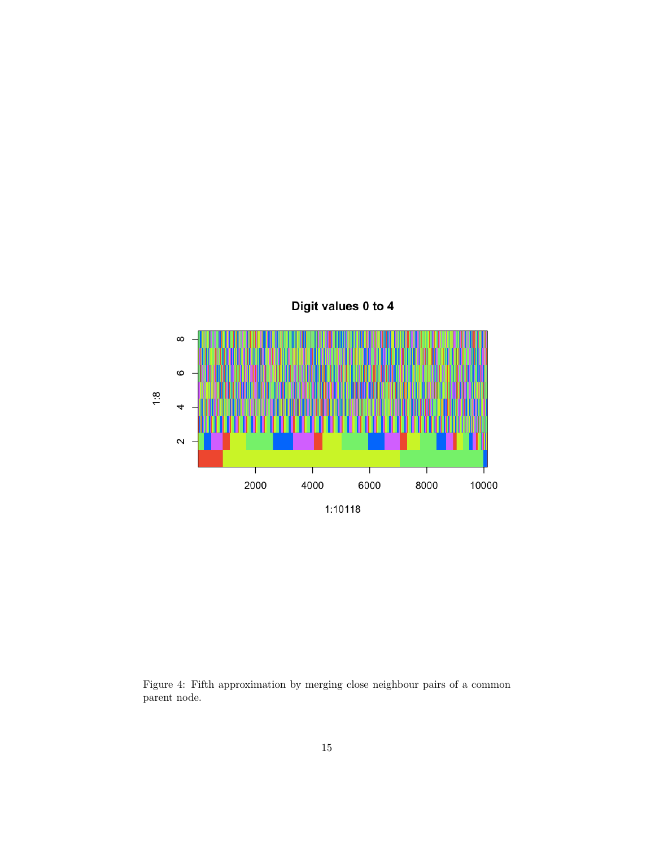

<span id="page-14-0"></span>Figure 4: Fifth approximation by merging close neighbour pairs of a common parent node.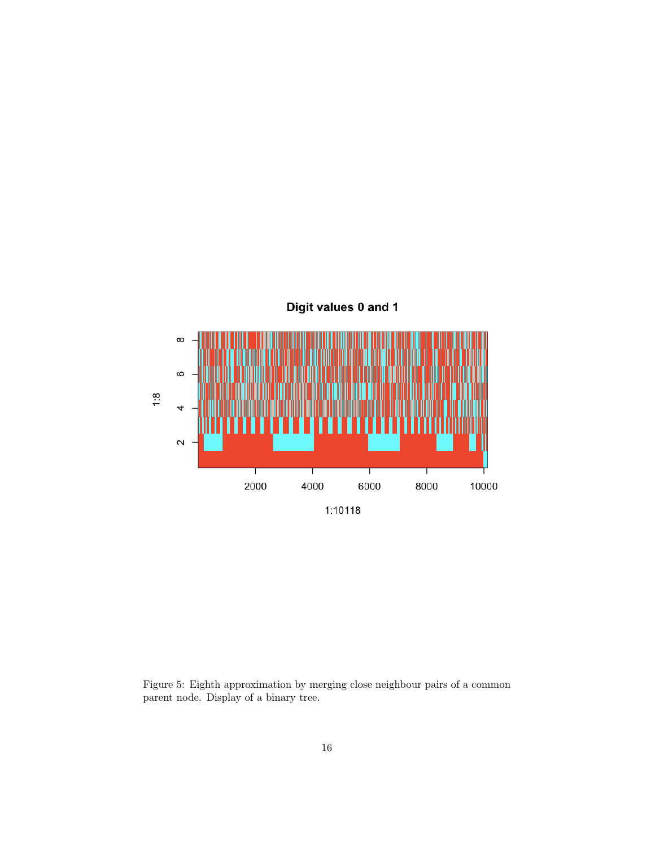

<span id="page-15-0"></span>Figure 5: Eighth approximation by merging close neighbour pairs of a common parent node. Display of a binary tree.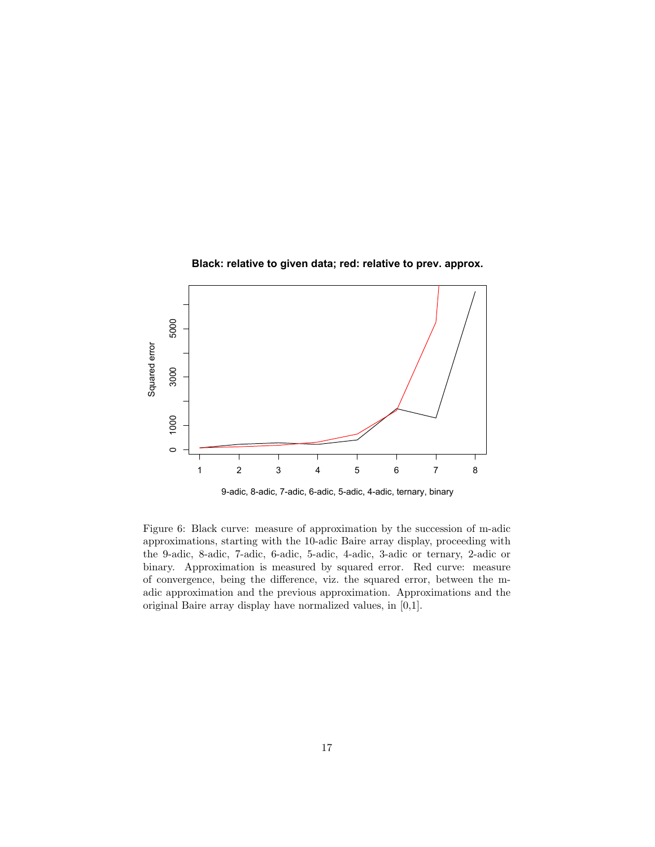



<span id="page-16-0"></span>9-adic, 8-adic, 7-adic, 6-adic, 5-adic, 4-adic, ternary, binary

Figure 6: Black curve: measure of approximation by the succession of m-adic approximations, starting with the 10-adic Baire array display, proceeding with the 9-adic, 8-adic, 7-adic, 6-adic, 5-adic, 4-adic, 3-adic or ternary, 2-adic or binary. Approximation is measured by squared error. Red curve: measure of convergence, being the difference, viz. the squared error, between the madic approximation and the previous approximation. Approximations and the original Baire array display have normalized values, in [0,1].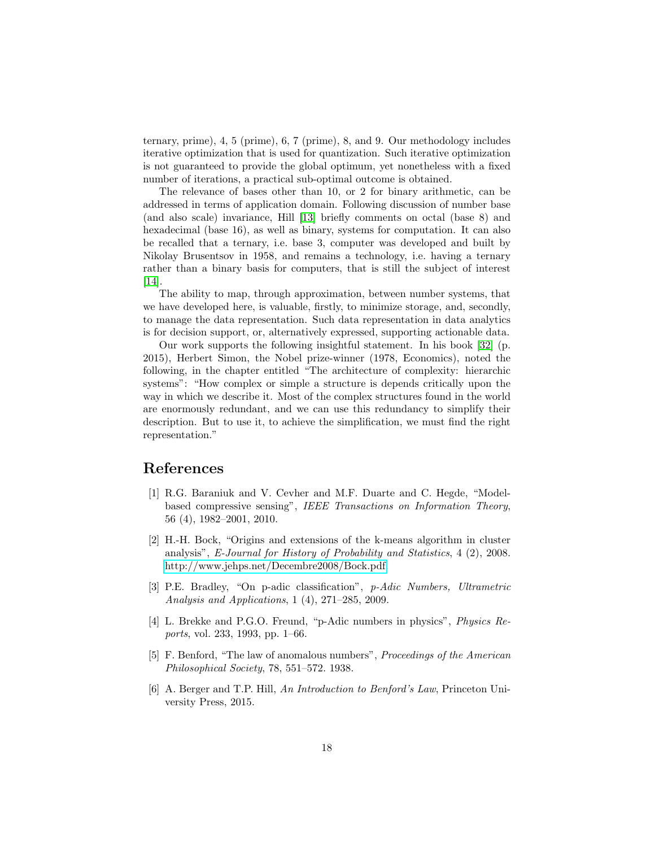ternary, prime), 4, 5 (prime), 6, 7 (prime), 8, and 9. Our methodology includes iterative optimization that is used for quantization. Such iterative optimization is not guaranteed to provide the global optimum, yet nonetheless with a fixed number of iterations, a practical sub-optimal outcome is obtained.

The relevance of bases other than 10, or 2 for binary arithmetic, can be addressed in terms of application domain. Following discussion of number base (and also scale) invariance, Hill [\[13\]](#page-18-9) briefly comments on octal (base 8) and hexadecimal (base 16), as well as binary, systems for computation. It can also be recalled that a ternary, i.e. base 3, computer was developed and built by Nikolay Brusentsov in 1958, and remains a technology, i.e. having a ternary rather than a binary basis for computers, that is still the subject of interest [\[14\]](#page-18-11).

The ability to map, through approximation, between number systems, that we have developed here, is valuable, firstly, to minimize storage, and, secondly, to manage the data representation. Such data representation in data analytics is for decision support, or, alternatively expressed, supporting actionable data.

Our work supports the following insightful statement. In his book [\[32\]](#page-19-11) (p. 2015), Herbert Simon, the Nobel prize-winner (1978, Economics), noted the following, in the chapter entitled "The architecture of complexity: hierarchic systems": "How complex or simple a structure is depends critically upon the way in which we describe it. Most of the complex structures found in the world are enormously redundant, and we can use this redundancy to simplify their description. But to use it, to achieve the simplification, we must find the right representation."

#### References

- <span id="page-17-1"></span>[1] R.G. Baraniuk and V. Cevher and M.F. Duarte and C. Hegde, "Modelbased compressive sensing", IEEE Transactions on Information Theory, 56 (4), 1982–2001, 2010.
- <span id="page-17-5"></span>[2] H.-H. Bock, "Origins and extensions of the k-means algorithm in cluster analysis", E-Journal for History of Probability and Statistics, 4 (2), 2008. [http://www.jehps.net/Decembre2008/Bock.pdf.](http://www.jehps.net/Decembre2008/Bock.pdf)
- <span id="page-17-2"></span>[3] P.E. Bradley, "On p-adic classification", p-Adic Numbers, Ultrametric Analysis and Applications, 1 (4), 271–285, 2009.
- <span id="page-17-0"></span>[4] L. Brekke and P.G.O. Freund, "p-Adic numbers in physics", Physics Reports, vol. 233, 1993, pp. 1–66.
- <span id="page-17-3"></span>[5] F. Benford, "The law of anomalous numbers", Proceedings of the American Philosophical Society, 78, 551–572. 1938.
- <span id="page-17-4"></span>[6] A. Berger and T.P. Hill, An Introduction to Benford's Law, Princeton University Press, 2015.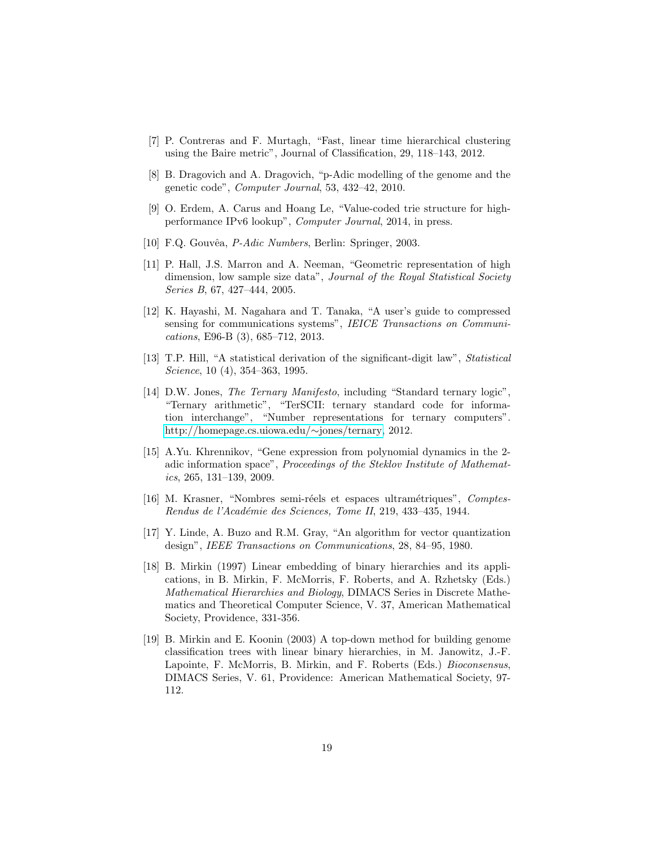- <span id="page-18-0"></span>[7] P. Contreras and F. Murtagh, "Fast, linear time hierarchical clustering using the Baire metric", Journal of Classification, 29, 118–143, 2012.
- <span id="page-18-1"></span>[8] B. Dragovich and A. Dragovich, "p-Adic modelling of the genome and the genetic code", Computer Journal, 53, 432–42, 2010.
- <span id="page-18-10"></span>[9] O. Erdem, A. Carus and Hoang Le, "Value-coded trie structure for highperformance IPv6 lookup", Computer Journal, 2014, in press.
- [10] F.Q. Gouvêa, *P-Adic Numbers*, Berlin: Springer, 2003.
- <span id="page-18-2"></span>[11] P. Hall, J.S. Marron and A. Neeman, "Geometric representation of high dimension, low sample size data", Journal of the Royal Statistical Society Series B, 67, 427–444, 2005.
- <span id="page-18-5"></span>[12] K. Hayashi, M. Nagahara and T. Tanaka, "A user's guide to compressed sensing for communications systems", IEICE Transactions on Communications, E96-B (3), 685–712, 2013.
- <span id="page-18-9"></span>[13] T.P. Hill, "A statistical derivation of the significant-digit law", Statistical Science, 10 (4), 354–363, 1995.
- <span id="page-18-11"></span>[14] D.W. Jones, The Ternary Manifesto, including "Standard ternary logic", "Ternary arithmetic", "TerSCII: ternary standard code for information interchange", "Number representations for ternary computers". [http://homepage.cs.uiowa.edu/](http://homepage.cs.uiowa.edu/~jones/ternary)∼jones/ternary, 2012.
- <span id="page-18-3"></span>[15] A.Yu. Khrennikov, "Gene expression from polynomial dynamics in the 2 adic information space", Proceedings of the Steklov Institute of Mathematics, 265, 131–139, 2009.
- <span id="page-18-6"></span>[16] M. Krasner, "Nombres semi-réels et espaces ultramétriques", Comptes-Rendus de l'Académie des Sciences, Tome II, 219, 433-435, 1944.
- <span id="page-18-7"></span>[17] Y. Linde, A. Buzo and R.M. Gray, "An algorithm for vector quantization design", IEEE Transactions on Communications, 28, 84–95, 1980.
- <span id="page-18-4"></span>[18] B. Mirkin (1997) Linear embedding of binary hierarchies and its applications, in B. Mirkin, F. McMorris, F. Roberts, and A. Rzhetsky (Eds.) Mathematical Hierarchies and Biology, DIMACS Series in Discrete Mathematics and Theoretical Computer Science, V. 37, American Mathematical Society, Providence, 331-356.
- <span id="page-18-8"></span>[19] B. Mirkin and E. Koonin (2003) A top-down method for building genome classification trees with linear binary hierarchies, in M. Janowitz, J.-F. Lapointe, F. McMorris, B. Mirkin, and F. Roberts (Eds.) Bioconsensus, DIMACS Series, V. 61, Providence: American Mathematical Society, 97- 112.